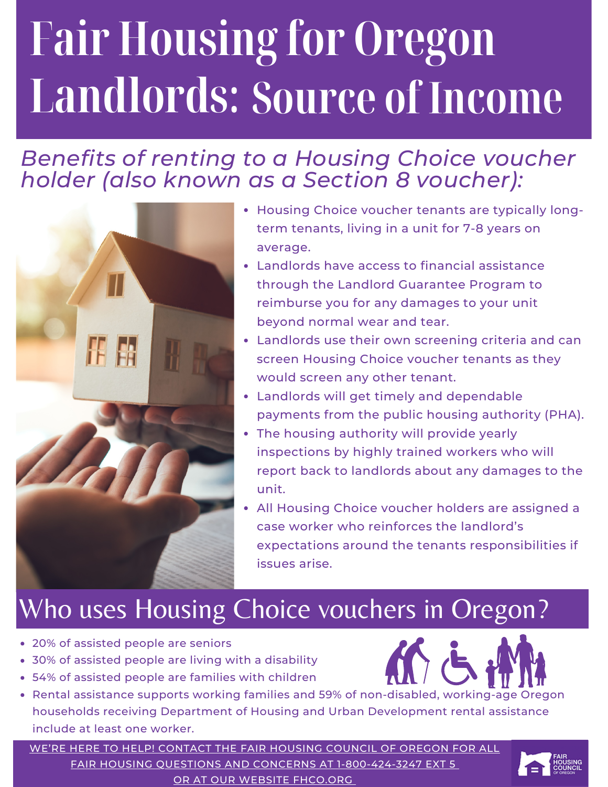# **Fair Housing for Oregon Landlords: Source of Income**

### *Benefits of renting to a Housing Choice voucher holder (also known as a Section 8 voucher):*



- Housing Choice voucher tenants are typically longterm tenants, living in a unit for 7-8 years on average.
- Landlords have access to financial assistance through the Landlord Guarantee Program to reimburse you for any damages to your unit beyond normal wear and tear.
- Landlords use their own screening criteria and can screen Housing Choice voucher tenants as they would screen any other tenant.
- Landlords will get timely and dependable payments from the public housing authority (PHA).
- The housing authority will provide yearly inspections by highly trained workers who will report back to landlords about any damages to the unit.
- All Housing Choice voucher holders are assigned a case worker who reinforces the landlord's expectations around the tenants responsibilities if issues arise.

## Who uses Housing Choice vouchers in Oregon?

- 20% of assisted people are seniors
- 30% of assisted people are living with a disability
- 54% of assisted people are families with children
- Rental assistance supports working families and 59% of non-disabled, working-age Oregon households receiving Department of Housing and Urban Development rental assistance include at least one worker.

WE'RE HERE TO HELP! CONTACT THE FAIR HOUSING COUNCIL OF OREGON FOR ALL FAIR HOUSING QUESTIONS AND CONCERNS AT [1-800-424-3247](https://fhco.org/housing-providers/) EXT 5 OR AT OUR WEBSITE [FHCO.ORG](https://fhco.org/housing-providers/)